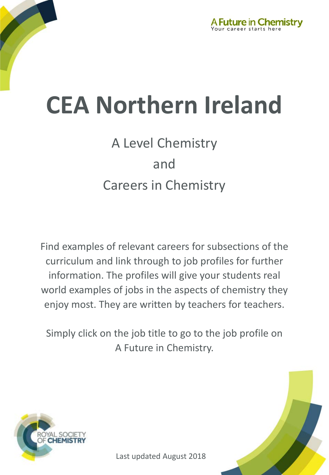

## A Level Chemistry and Careers in Chemistry

Find examples of relevant careers for subsections of the curriculum and link through to job profiles for further information. The profiles will give your students real world examples of jobs in the aspects of chemistry they enjoy most. They are written by teachers for teachers.

Simply click on the job title to go to the job profile on A Future in Chemistry.



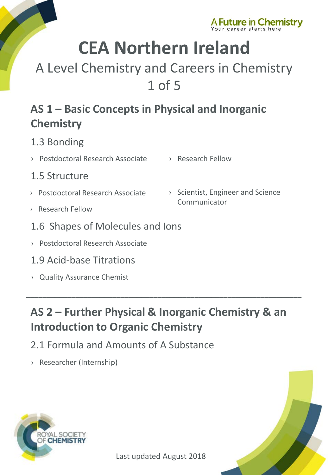

## A Level Chemistry and Careers in Chemistry 1 of 5

### **AS 1 – Basic Concepts in Physical and Inorganic Chemistry**

- 1.3 Bonding
- › [Postdoctoral Research Associate](http://www.rsc.org/careers/future/postdoctoral-research-associate) › [Research Fellow](http://www.rsc.org/careers/future/research-fellow)
- 1.5 Structure
- › [Postdoctoral Research Associate](http://www.rsc.org/careers/future/postdoctoral-research-associate)
- › [Research Fellow](http://www.rsc.org/careers/future/research-fellow)
- 1.6 Shapes of Molecules and Ions
- › [Postdoctoral Research Associate](http://www.rsc.org/careers/future/postdoctoral-research-associate)
- 1.9 Acid-base Titrations
- › [Quality Assurance Chemist](http://www.rsc.org/careers/future/quality-assurance-chemist)

#### › [Scientist, Engineer and Science](http://www.rsc.org/careers/future/scientist-engineer-and-science-communicator)  Communicator

### **AS 2 – Further Physical & Inorganic Chemistry & an Introduction to Organic Chemistry**

 $\_$  ,  $\_$  ,  $\_$  ,  $\_$  ,  $\_$  ,  $\_$  ,  $\_$  ,  $\_$  ,  $\_$  ,  $\_$  ,  $\_$  ,  $\_$  ,  $\_$  ,  $\_$  ,  $\_$  ,  $\_$  ,  $\_$  ,  $\_$  ,  $\_$  ,  $\_$  ,  $\_$  ,  $\_$  ,  $\_$  ,  $\_$  ,  $\_$  ,  $\_$  ,  $\_$  ,  $\_$  ,  $\_$  ,  $\_$  ,  $\_$  ,  $\_$  ,  $\_$  ,  $\_$  ,  $\_$  ,  $\_$  ,  $\_$  ,

- 2.1 Formula and Amounts of A Substance
- › [Researcher \(Internship\)](http://www.rsc.org/careers/future/researcher-internship)



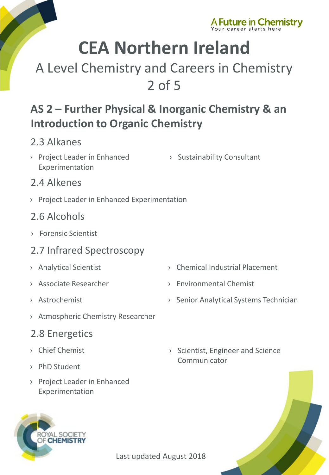

## A Level Chemistry and Careers in Chemistry 2 of 5

### **AS 2 – Further Physical & Inorganic Chemistry & an Introduction to Organic Chemistry**

#### 2.3 Alkanes

- › [Project Leader in Enhanced](http://www.rsc.org/careers/future/project-leader-enhanced-experimentation)  Experimentation
- › [Sustainability Consultant](http://www.rsc.org/careers/future/sustainability-consultant)

#### 2.4 Alkenes

› [Project Leader in Enhanced Experimentation](http://www.rsc.org/careers/future/project-leader-enhanced-experimentation)

#### 2.6 Alcohols

› [Forensic Scientist](http://www.rsc.org/careers/future/forensic-scientist)

#### 2.7 Infrared Spectroscopy

- 
- 
- 
- › [Atmospheric Chemistry Researcher](http://www.rsc.org/careers/future/atmospheric-chemistry-researcher)

#### 2.8 Energetics

- › [Chief Chemist](http://www.rsc.org/careers/future/chief-chemist)
- › [PhD Student](http://www.rsc.org/careers/future/phd-student)
- › [Project Leader in Enhanced](http://www.rsc.org/careers/future/project-leader-enhanced-experimentation)  Experimentation

AL SOCIETY **CHEMISTRY** 

- › [Analytical Scientist](http://www.rsc.org/careers/future/analytical-scientist) › [Chemical Industrial Placement](http://www.rsc.org/careers/future/chemical-industrial-placement)
- › [Associate Researcher](http://www.rsc.org/careers/future/associate-researcher) › [Environmental Chemist](http://www.rsc.org/careers/future/environmental-chemist)
- › [Astrochemist](http://www.rsc.org/careers/future/astrochemist) › [Senior Analytical Systems Technician](http://www.rsc.org/careers/future/senior-analytical-systems-technician)
	- › [Scientist, Engineer and Science](http://www.rsc.org/careers/future/scientist-engineer-and-science-communicator)  Communicator

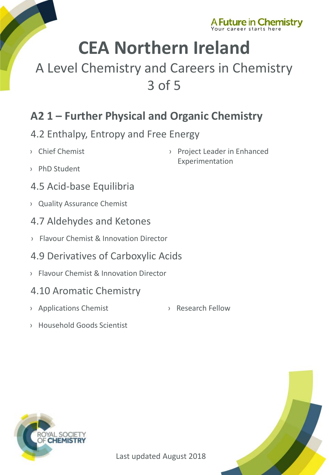

## A Level Chemistry and Careers in Chemistry 3 of 5

### **A2 1 – Further Physical and Organic Chemistry**

#### 4.2 Enthalpy, Entropy and Free Energy

- › [Chief Chemist](http://www.rsc.org/careers/future/chief-chemist)
- › [PhD Student](http://www.rsc.org/careers/future/phd-student)
- 4.5 Acid-base Equilibria
- › [Quality Assurance Chemist](http://www.rsc.org/careers/future/quality-assurance-chemist)
- 4.7 Aldehydes and Ketones
- › [Flavour Chemist & Innovation Director](http://www.rsc.org/careers/future/flavourist-innovation-director)
- 4.9 Derivatives of Carboxylic Acids
- › [Flavour Chemist & Innovation Director](http://www.rsc.org/careers/future/flavourist-innovation-director)

#### 4.10 Aromatic Chemistry

- › [Applications Chemist](http://www.rsc.org/careers/future/applications-chemist) › [Research Fellow](http://www.rsc.org/careers/future/research-fellow)
- 

› [Project Leader in Enhanced](http://www.rsc.org/careers/future/project-leader-enhanced-experimentation) 

Experimentation

› [Household Goods Scientist](http://www.rsc.org/careers/future/household-goods-senior-scientist)



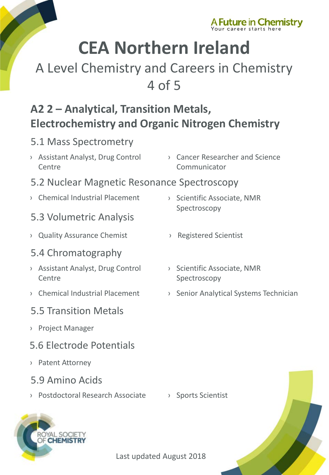

## A Level Chemistry and Careers in Chemistry 4 of 5

### **A2 2 – Analytical, Transition Metals, Electrochemistry and Organic Nitrogen Chemistry**

#### 5.1 Mass Spectrometry

- › [Assistant Analyst, Drug Control](http://www.rsc.org/careers/future/assistant-analyst-drug-control-centre)  Centre
- › [Cancer Researcher and Science](http://www.rsc.org/careers/future/cancer-researcher-and-science-communicator)  Communicator

#### 5.2 Nuclear Magnetic Resonance Spectroscopy

› [Chemical Industrial Placement](http://www.rsc.org/careers/future/chemical-industrial-placement) › [Scientific Associate, NMR](http://www.rsc.org/careers/future/scientific-associate-nmr-spectroscopy) 

#### 5.3 Volumetric Analysis

› [Quality Assurance Chemist](http://www.rsc.org/careers/future/quality-assurance-chemist) › [Registered Scientist](http://www.rsc.org/careers/future/registered-scientist)

#### 5.4 Chromatography

- › [Assistant Analyst, Drug Control](http://www.rsc.org/careers/future/assistant-analyst-drug-control-centre)  **Centre**
- 

#### 5.5 Transition Metals

› [Project Manager](http://www.rsc.org/careers/future/project-manager)

#### 5.6 Electrode Potentials

- › [Patent Attorney](http://www.rsc.org/careers/future/patent-attorney)
- 5.9 Amino Acids

AL SOCIETY **CHEMISTRY** 

› [Postdoctoral Research Associate](http://www.rsc.org/careers/future/postdoctoral-research-associate) › [Sports Scientist](http://www.rsc.org/careers/future/senior-sports-scientist)

- Spectroscopy
- 
- › [Scientific Associate, NMR](http://www.rsc.org/careers/future/scientific-associate-nmr-spectroscopy)  Spectroscopy
- > [Chemical Industrial Placement](http://www.rsc.org/careers/future/chemical-industrial-placement) > [Senior Analytical Systems Technician](http://www.rsc.org/careers/future/senior-analytical-systems-technician)